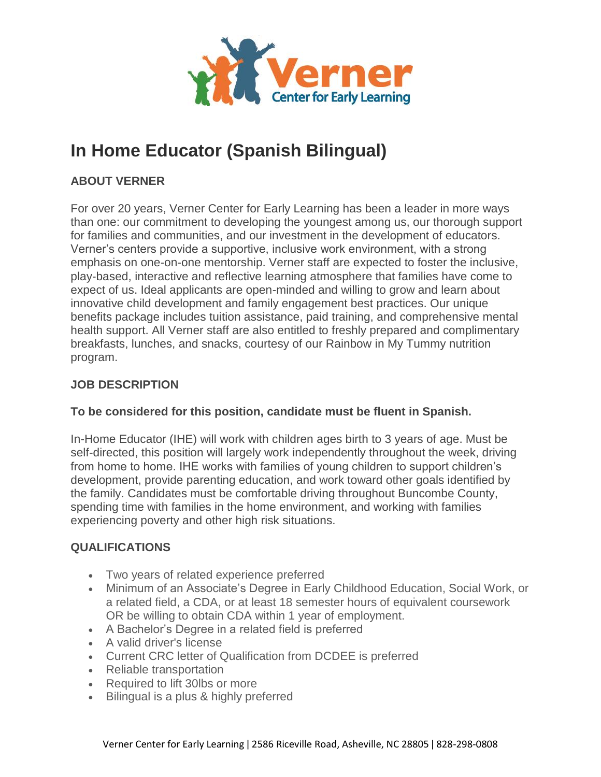

# **In Home Educator (Spanish Bilingual)**

## **ABOUT VERNER**

For over 20 years, Verner Center for Early Learning has been a leader in more ways than one: our commitment to developing the youngest among us, our thorough support for families and communities, and our investment in the development of educators. Verner's centers provide a supportive, inclusive work environment, with a strong emphasis on one-on-one mentorship. Verner staff are expected to foster the inclusive, play-based, interactive and reflective learning atmosphere that families have come to expect of us. Ideal applicants are open-minded and willing to grow and learn about innovative child development and family engagement best practices. Our unique benefits package includes tuition assistance, paid training, and comprehensive mental health support. All Verner staff are also entitled to freshly prepared and complimentary breakfasts, lunches, and snacks, courtesy of our Rainbow in My Tummy nutrition program.

## **JOB DESCRIPTION**

### **To be considered for this position, candidate must be fluent in Spanish.**

In-Home Educator (IHE) will work with children ages birth to 3 years of age. Must be self-directed, this position will largely work independently throughout the week, driving from home to home. IHE works with families of young children to support children's development, provide parenting education, and work toward other goals identified by the family. Candidates must be comfortable driving throughout Buncombe County, spending time with families in the home environment, and working with families experiencing poverty and other high risk situations.

## **QUALIFICATIONS**

- Two years of related experience preferred
- Minimum of an Associate's Degree in Early Childhood Education, Social Work, or a related field, a CDA, or at least 18 semester hours of equivalent coursework OR be willing to obtain CDA within 1 year of employment.
- A Bachelor's Degree in a related field is preferred
- A valid driver's license
- Current CRC letter of Qualification from DCDEE is preferred
- Reliable transportation
- Required to lift 30lbs or more
- Bilingual is a plus & highly preferred